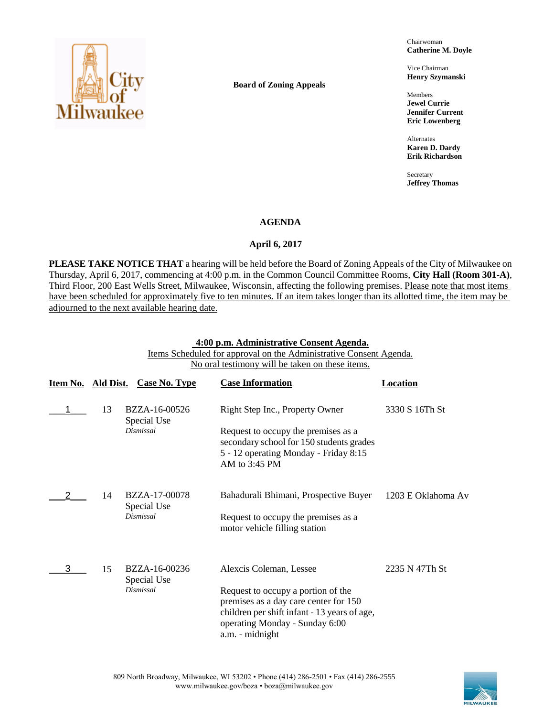

**Board of Zoning Appeals**

Chairwoman **Catherine M. Doyle**

Vice Chairman **Henry Szymanski**

Members **Jewel Currie Jennifer Current Eric Lowenberg**

Alternates **Karen D. Dardy Erik Richardson**

Secretary **Jeffrey Thomas**

### **AGENDA**

### April 6, 2017

**PLEASE TAKE NOTICE THAT** a hearing will be held before the Board of Zoning Appeals of the City of Milwaukee on Thursday, April 6, 2017, commencing at 4:00 p.m. in the Common Council Committee Rooms, **City Hall (Room 301-A)**, Third Floor, 200 East Wells Street, Milwaukee, Wisconsin, affecting the following premises. Please note that most items have been scheduled for approximately five to ten minutes. If an item takes longer than its allotted time, the item may be adjourned to the next available hearing date.

### **4:00 p.m. Administrative Consent Agenda.**

Items Scheduled for approval on the Administrative Consent Agenda. No oral testimony will be taken on these items.

| Item No. Ald Dist. |    | <b>Case No. Type</b>         | <b>Case Information</b>                                                                                                                                                          | <b>Location</b>    |
|--------------------|----|------------------------------|----------------------------------------------------------------------------------------------------------------------------------------------------------------------------------|--------------------|
|                    | 13 | BZZA-16-00526<br>Special Use | Right Step Inc., Property Owner                                                                                                                                                  | 3330 S 16Th St     |
|                    |    | <b>Dismissal</b>             | Request to occupy the premises as a<br>secondary school for 150 students grades<br>5 - 12 operating Monday - Friday 8:15<br>AM to $3:45$ PM                                      |                    |
|                    | 14 | BZZA-17-00078<br>Special Use | Bahadurali Bhimani, Prospective Buyer                                                                                                                                            | 1203 E Oklahoma Av |
|                    |    | Dismissal                    | Request to occupy the premises as a<br>motor vehicle filling station                                                                                                             |                    |
| 3                  | 15 | BZZA-16-00236<br>Special Use | Alexcis Coleman, Lessee                                                                                                                                                          | 2235 N 47Th St     |
|                    |    | <b>Dismissal</b>             | Request to occupy a portion of the<br>premises as a day care center for 150<br>children per shift infant - 13 years of age,<br>operating Monday - Sunday 6:00<br>a.m. - midnight |                    |

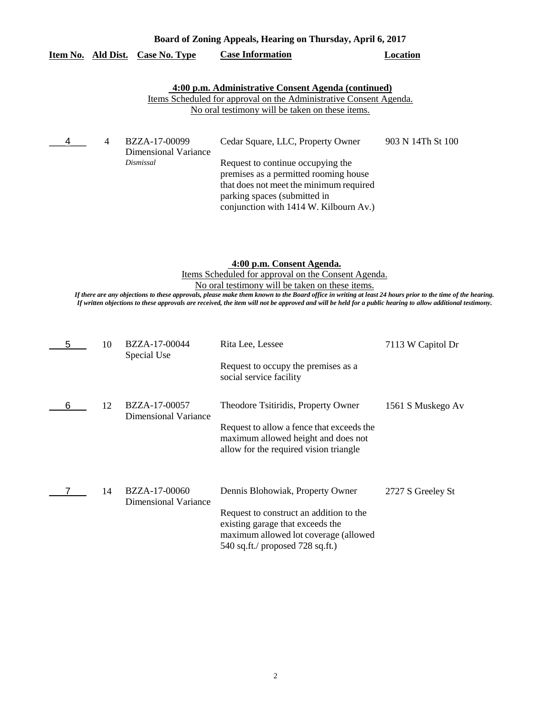|   |    | <u>Item No. Ald Dist. Case No. Type</u>                   | <b>Case Information</b>                                                                                                                                                                                                                                                                                                                                                                                                                                       | <b>Location</b>   |
|---|----|-----------------------------------------------------------|---------------------------------------------------------------------------------------------------------------------------------------------------------------------------------------------------------------------------------------------------------------------------------------------------------------------------------------------------------------------------------------------------------------------------------------------------------------|-------------------|
|   |    |                                                           | 4:00 p.m. Administrative Consent Agenda (continued)<br>Items Scheduled for approval on the Administrative Consent Agenda.<br>No oral testimony will be taken on these items.                                                                                                                                                                                                                                                                                  |                   |
| 4 | 4  | BZZA-17-00099<br><b>Dimensional Variance</b><br>Dismissal | Cedar Square, LLC, Property Owner<br>Request to continue occupying the<br>premises as a permitted rooming house<br>that does not meet the minimum required<br>parking spaces (submitted in<br>conjunction with 1414 W. Kilbourn Av.)                                                                                                                                                                                                                          | 903 N 14Th St 100 |
|   |    |                                                           | 4:00 p.m. Consent Agenda.<br>Items Scheduled for approval on the Consent Agenda.<br>No oral testimony will be taken on these items.<br>If there are any objections to these approvals, please make them known to the Board office in writing at least 24 hours prior to the time of the hearing.<br>If written objections to these approvals are received, the item will not be approved and will be held for a public hearing to allow additional testimony. |                   |
| 5 | 10 | BZZA-17-00044<br>Special Use                              | Rita Lee, Lessee<br>Request to occupy the premises as a<br>social service facility                                                                                                                                                                                                                                                                                                                                                                            | 7113 W Capitol Dr |
| 6 | 12 | BZZA-17-00057<br><b>Dimensional Variance</b>              | Theodore Tsitiridis, Property Owner<br>Request to allow a fence that exceeds the<br>maximum allowed height and does not<br>allow for the required vision triangle                                                                                                                                                                                                                                                                                             | 1561 S Muskego Av |
|   | 14 | BZZA-17-00060<br><b>Dimensional Variance</b>              | Dennis Blohowiak, Property Owner<br>Request to construct an addition to the<br>existing garage that exceeds the<br>maximum allowed lot coverage (allowed<br>540 sq.ft./ proposed 728 sq.ft.)                                                                                                                                                                                                                                                                  | 2727 S Greeley St |

# **Board of Zoning Appeals, Hearing on Thursday, April 6, 2017**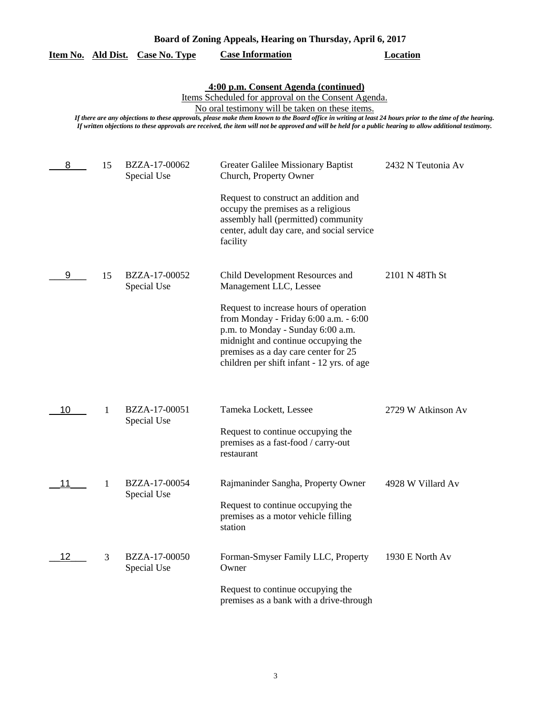|                                                                                                                                                                                                                                                                                                                                                                                                                                                                          |    | <u>Item No. Ald Dist. Case No. Type</u> | <b>Case Information</b>                                                                                                                                                                                                                                                                                        | <b>Location</b>    |  |
|--------------------------------------------------------------------------------------------------------------------------------------------------------------------------------------------------------------------------------------------------------------------------------------------------------------------------------------------------------------------------------------------------------------------------------------------------------------------------|----|-----------------------------------------|----------------------------------------------------------------------------------------------------------------------------------------------------------------------------------------------------------------------------------------------------------------------------------------------------------------|--------------------|--|
| 4:00 p.m. Consent Agenda (continued)<br>Items Scheduled for approval on the Consent Agenda.<br>No oral testimony will be taken on these items.<br>If there are any objections to these approvals, please make them known to the Board office in writing at least 24 hours prior to the time of the hearing.<br>If written objections to these approvals are received, the item will not be approved and will be held for a public hearing to allow additional testimony. |    |                                         |                                                                                                                                                                                                                                                                                                                |                    |  |
| 8                                                                                                                                                                                                                                                                                                                                                                                                                                                                        | 15 | BZZA-17-00062<br>Special Use            | Greater Galilee Missionary Baptist<br>Church, Property Owner<br>Request to construct an addition and<br>occupy the premises as a religious<br>assembly hall (permitted) community<br>center, adult day care, and social service<br>facility                                                                    | 2432 N Teutonia Av |  |
| 9                                                                                                                                                                                                                                                                                                                                                                                                                                                                        | 15 | BZZA-17-00052<br>Special Use            | Child Development Resources and<br>Management LLC, Lessee<br>Request to increase hours of operation<br>from Monday - Friday 6:00 a.m. - 6:00<br>p.m. to Monday - Sunday 6:00 a.m.<br>midnight and continue occupying the<br>premises as a day care center for 25<br>children per shift infant - 12 yrs. of age | 2101 N 48Th St     |  |
| 10                                                                                                                                                                                                                                                                                                                                                                                                                                                                       | 1  | BZZA-17-00051<br>Special Use            | Tameka Lockett, Lessee<br>Request to continue occupying the<br>premises as a fast-food / carry-out<br>restaurant                                                                                                                                                                                               | 2729 W Atkinson Av |  |
| 11                                                                                                                                                                                                                                                                                                                                                                                                                                                                       | 1  | BZZA-17-00054<br>Special Use            | Rajmaninder Sangha, Property Owner<br>Request to continue occupying the<br>premises as a motor vehicle filling<br>station                                                                                                                                                                                      | 4928 W Villard Av  |  |
| 12                                                                                                                                                                                                                                                                                                                                                                                                                                                                       | 3  | BZZA-17-00050<br>Special Use            | Forman-Smyser Family LLC, Property<br>Owner<br>Request to continue occupying the<br>premises as a bank with a drive-through                                                                                                                                                                                    | 1930 E North Av    |  |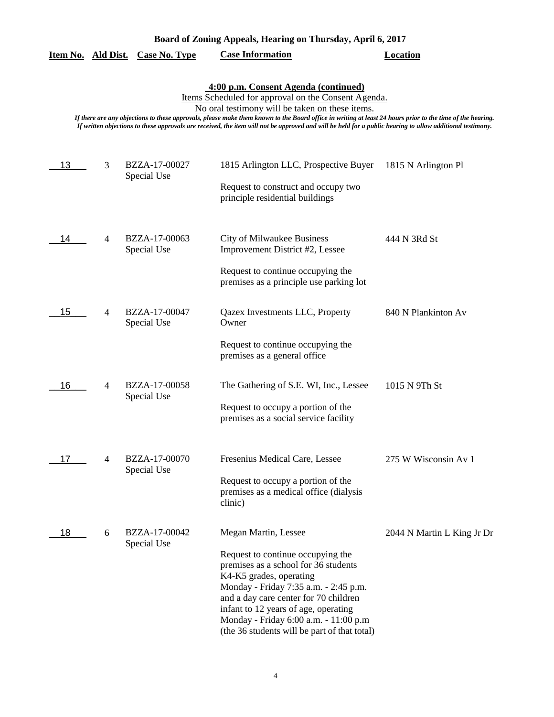| Board of Zoning Appeals, Hearing on Thursday, April 6, 2017 |  |  |
|-------------------------------------------------------------|--|--|
|                                                             |  |  |

|  |  | Item No. Ald Dist. Case No. Type | <b>Case Information</b> | Location |
|--|--|----------------------------------|-------------------------|----------|
|--|--|----------------------------------|-------------------------|----------|

### **4:00 p.m. Consent Agenda (continued)**

Items Scheduled for approval on the Consent Agenda.

No oral testimony will be taken on these items.

*If there are any objections to these approvals, please make them known to the Board office in writing at least 24 hours prior to the time of the hearing. If written objections to these approvals are received, the item will not be approved and will be held for a public hearing to allow additional testimony.*

| 13 | 3              | BZZA-17-00027<br>Special Use | 1815 Arlington LLC, Prospective Buyer                                                                                                                                                                                                                                                                                   | 1815 N Arlington Pl        |
|----|----------------|------------------------------|-------------------------------------------------------------------------------------------------------------------------------------------------------------------------------------------------------------------------------------------------------------------------------------------------------------------------|----------------------------|
|    |                |                              | Request to construct and occupy two<br>principle residential buildings                                                                                                                                                                                                                                                  |                            |
| 14 | $\overline{4}$ | BZZA-17-00063<br>Special Use | City of Milwaukee Business<br>Improvement District #2, Lessee                                                                                                                                                                                                                                                           | 444 N 3Rd St               |
|    |                |                              | Request to continue occupying the<br>premises as a principle use parking lot                                                                                                                                                                                                                                            |                            |
| 15 | 4              | BZZA-17-00047<br>Special Use | Qazex Investments LLC, Property<br>Owner                                                                                                                                                                                                                                                                                | 840 N Plankinton Av        |
|    |                |                              | Request to continue occupying the<br>premises as a general office                                                                                                                                                                                                                                                       |                            |
| 16 | 4              | BZZA-17-00058<br>Special Use | The Gathering of S.E. WI, Inc., Lessee                                                                                                                                                                                                                                                                                  | 1015 N 9Th St              |
|    |                |                              | Request to occupy a portion of the<br>premises as a social service facility                                                                                                                                                                                                                                             |                            |
| 17 | $\overline{4}$ | BZZA-17-00070<br>Special Use | Fresenius Medical Care, Lessee                                                                                                                                                                                                                                                                                          | 275 W Wisconsin Av 1       |
|    |                |                              | Request to occupy a portion of the<br>premises as a medical office (dialysis<br>clinic)                                                                                                                                                                                                                                 |                            |
| 18 | 6              | BZZA-17-00042<br>Special Use | Megan Martin, Lessee                                                                                                                                                                                                                                                                                                    | 2044 N Martin L King Jr Dr |
|    |                |                              | Request to continue occupying the<br>premises as a school for 36 students<br>K4-K5 grades, operating<br>Monday - Friday 7:35 a.m. - 2:45 p.m.<br>and a day care center for 70 children<br>infant to 12 years of age, operating<br>Monday - Friday 6:00 a.m. - 11:00 p.m<br>(the 36 students will be part of that total) |                            |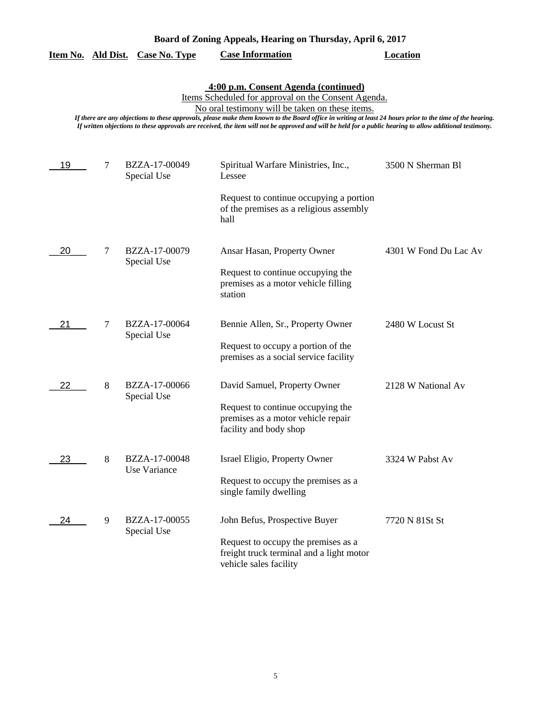| Board of Zoning Appeals, Hearing on Thursday, April 6, 2017 |  |  |
|-------------------------------------------------------------|--|--|
|                                                             |  |  |

|  |  | Item No. Ald Dist. Case No. Type | <b>Case Information</b> | Location |
|--|--|----------------------------------|-------------------------|----------|
|--|--|----------------------------------|-------------------------|----------|

**4:00 p.m. Consent Agenda (continued)**

Items Scheduled for approval on the Consent Agenda.

No oral testimony will be taken on these items.

*If there are any objections to these approvals, please make them known to the Board office in writing at least 24 hours prior to the time of the hearing. If written objections to these approvals are received, the item will not be approved and will be held for a public hearing to allow additional testimony.*

| 19 | $\tau$ | BZZA-17-00049<br>Special Use  | Spiritual Warfare Ministries, Inc.,<br>Lessee                                                                                              | 3500 N Sherman Bl     |
|----|--------|-------------------------------|--------------------------------------------------------------------------------------------------------------------------------------------|-----------------------|
|    |        |                               | Request to continue occupying a portion<br>of the premises as a religious assembly<br>hall                                                 |                       |
| 20 | 7      | BZZA-17-00079<br>Special Use  | Ansar Hasan, Property Owner<br>Request to continue occupying the<br>premises as a motor vehicle filling<br>station                         | 4301 W Fond Du Lac Av |
| 21 | $\tau$ | BZZA-17-00064<br>Special Use  | Bennie Allen, Sr., Property Owner<br>Request to occupy a portion of the<br>premises as a social service facility                           | 2480 W Locust St      |
| 22 | 8      | BZZA-17-00066<br>Special Use  | David Samuel, Property Owner<br>Request to continue occupying the<br>premises as a motor vehicle repair<br>facility and body shop          | 2128 W National Av    |
| 23 | 8      | BZZA-17-00048<br>Use Variance | Israel Eligio, Property Owner<br>Request to occupy the premises as a<br>single family dwelling                                             | 3324 W Pabst Av       |
| 24 | 9      | BZZA-17-00055<br>Special Use  | John Befus, Prospective Buyer<br>Request to occupy the premises as a<br>freight truck terminal and a light motor<br>vehicle sales facility | 7720 N 81St St        |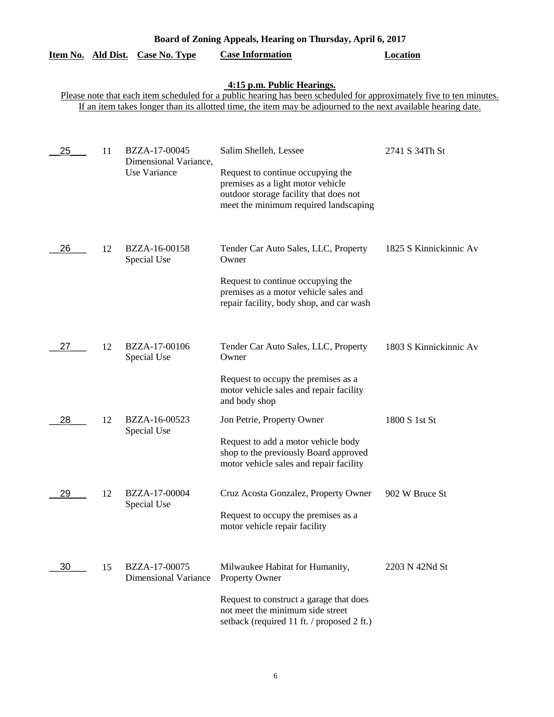| Board of Zoning Appeals, Hearing on Thursday, April 6, 2017 |           |                                                        |                                                                                                                                                                                                                                                                    |                        |  |
|-------------------------------------------------------------|-----------|--------------------------------------------------------|--------------------------------------------------------------------------------------------------------------------------------------------------------------------------------------------------------------------------------------------------------------------|------------------------|--|
| <u>Item No.</u>                                             | Ald Dist. | <b>Case No. Type</b>                                   | <b>Case Information</b>                                                                                                                                                                                                                                            | <b>Location</b>        |  |
|                                                             |           |                                                        | 4:15 p.m. Public Hearings.<br>Please note that each item scheduled for a public hearing has been scheduled for approximately five to ten minutes.<br>If an item takes longer than its allotted time, the item may be adjourned to the next available hearing date. |                        |  |
| 25                                                          | 11        | BZZA-17-00045<br>Dimensional Variance,<br>Use Variance | Salim Shelleh, Lessee<br>Request to continue occupying the<br>premises as a light motor vehicle<br>outdoor storage facility that does not<br>meet the minimum required landscaping                                                                                 | 2741 S 34Th St         |  |
| 26                                                          | 12        | BZZA-16-00158<br>Special Use                           | Tender Car Auto Sales, LLC, Property<br>Owner<br>Request to continue occupying the<br>premises as a motor vehicle sales and<br>repair facility, body shop, and car wash                                                                                            | 1825 S Kinnickinnic Av |  |
| 27                                                          | 12        | BZZA-17-00106<br>Special Use                           | Tender Car Auto Sales, LLC, Property<br>Owner<br>Request to occupy the premises as a<br>motor vehicle sales and repair facility<br>and body shop                                                                                                                   | 1803 S Kinnickinnic Av |  |
| 28                                                          | 12        | BZZA-16-00523<br>Special Use                           | Jon Petrie, Property Owner<br>Request to add a motor vehicle body<br>shop to the previously Board approved<br>motor vehicle sales and repair facility                                                                                                              | 1800 S 1st St          |  |
| 29                                                          | 12        | BZZA-17-00004<br>Special Use                           | Cruz Acosta Gonzalez, Property Owner<br>Request to occupy the premises as a<br>motor vehicle repair facility                                                                                                                                                       | 902 W Bruce St         |  |
| 30                                                          | 15        | BZZA-17-00075<br><b>Dimensional Variance</b>           | Milwaukee Habitat for Humanity,<br><b>Property Owner</b><br>Request to construct a garage that does<br>not meet the minimum side street<br>setback (required 11 ft. / proposed 2 ft.)                                                                              | 2203 N 42Nd St         |  |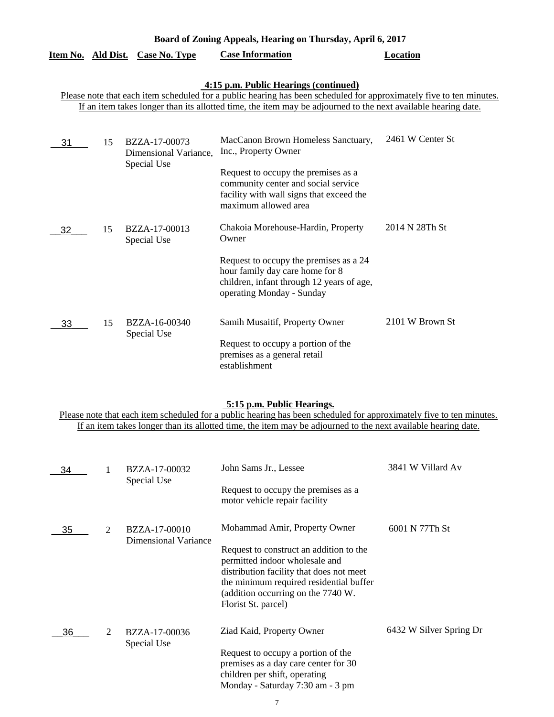| Board of Zoning Appeals, Hearing on Thursday, April 6, 2017 |                                                                                                                                                                                                                                                                               |                                                       |                                                                                                                                                                                                              |                  |  |  |  |
|-------------------------------------------------------------|-------------------------------------------------------------------------------------------------------------------------------------------------------------------------------------------------------------------------------------------------------------------------------|-------------------------------------------------------|--------------------------------------------------------------------------------------------------------------------------------------------------------------------------------------------------------------|------------------|--|--|--|
|                                                             |                                                                                                                                                                                                                                                                               | Item No. Ald Dist. Case No. Type                      | <b>Case Information</b>                                                                                                                                                                                      | <b>Location</b>  |  |  |  |
|                                                             | 4:15 p.m. Public Hearings (continued)<br>Please note that each item scheduled for a public hearing has been scheduled for approximately five to ten minutes.<br>If an item takes longer than its allotted time, the item may be adjourned to the next available hearing date. |                                                       |                                                                                                                                                                                                              |                  |  |  |  |
| 31                                                          | 15                                                                                                                                                                                                                                                                            | BZZA-17-00073<br>Dimensional Variance,<br>Special Use | MacCanon Brown Homeless Sanctuary,<br>Inc., Property Owner<br>Request to occupy the premises as a<br>community center and social service<br>facility with wall signs that exceed the<br>maximum allowed area | 2461 W Center St |  |  |  |
| 32                                                          | 15                                                                                                                                                                                                                                                                            | BZZA-17-00013<br>Special Use                          | Chakoia Morehouse-Hardin, Property<br>Owner<br>Request to occupy the premises as a 24<br>hour family day care home for 8<br>children, infant through 12 years of age,<br>operating Monday - Sunday           | 2014 N 28Th St   |  |  |  |
| 33                                                          | 15                                                                                                                                                                                                                                                                            | BZZA-16-00340<br>Special Use                          | Samih Musaitif, Property Owner<br>Request to occupy a portion of the<br>premises as a general retail<br>establishment                                                                                        | 2101 W Brown St  |  |  |  |

## **5:15 p.m. Public Hearings.**

Please note that each item scheduled for a public hearing has been scheduled for approximately five to ten minutes. If an item takes longer than its allotted time, the item may be adjourned to the next available hearing date.

| 34 | BZZA-17-00032 | John Sams Jr., Lessee        | 3841 W Villard Av                                                                                                                                                                                                             |                         |
|----|---------------|------------------------------|-------------------------------------------------------------------------------------------------------------------------------------------------------------------------------------------------------------------------------|-------------------------|
|    |               | Special Use                  | Request to occupy the premises as a<br>motor vehicle repair facility                                                                                                                                                          |                         |
| 35 | 2             | BZZA-17-00010                | Mohammad Amir, Property Owner                                                                                                                                                                                                 | 6001 N 77Th St          |
|    |               | Dimensional Variance         | Request to construct an addition to the<br>permitted indoor wholesale and<br>distribution facility that does not meet<br>the minimum required residential buffer<br>(addition occurring on the 7740 W.<br>Florist St. parcel) |                         |
| 36 | 2             | BZZA-17-00036<br>Special Use | Ziad Kaid, Property Owner                                                                                                                                                                                                     | 6432 W Silver Spring Dr |
|    |               |                              | Request to occupy a portion of the<br>premises as a day care center for 30<br>children per shift, operating<br>Monday - Saturday 7:30 am - 3 pm                                                                               |                         |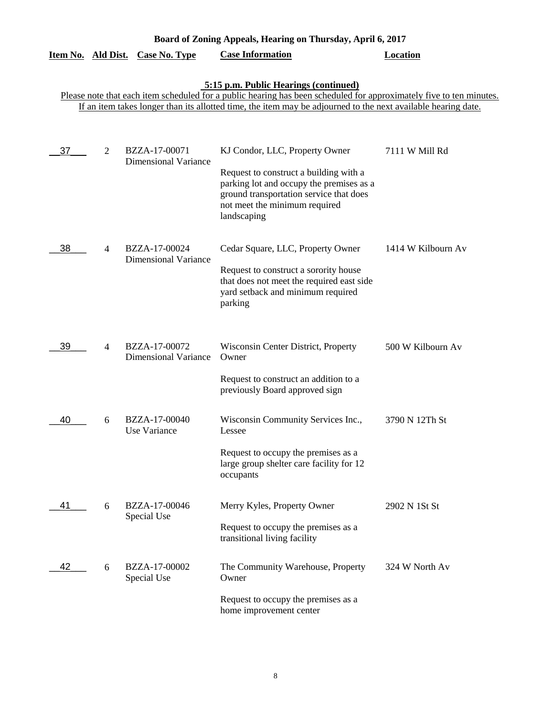|                                                                                                                                                                                                                                                                               |                | <u>Item No. Ald Dist. Case No. Type</u>      | <b>Case Information</b>                                                                                                                                                                                         | <b>Location</b>    |  |  |  |  |
|-------------------------------------------------------------------------------------------------------------------------------------------------------------------------------------------------------------------------------------------------------------------------------|----------------|----------------------------------------------|-----------------------------------------------------------------------------------------------------------------------------------------------------------------------------------------------------------------|--------------------|--|--|--|--|
| 5:15 p.m. Public Hearings (continued)<br>Please note that each item scheduled for a public hearing has been scheduled for approximately five to ten minutes.<br>If an item takes longer than its allotted time, the item may be adjourned to the next available hearing date. |                |                                              |                                                                                                                                                                                                                 |                    |  |  |  |  |
| 37                                                                                                                                                                                                                                                                            | 2              | BZZA-17-00071<br><b>Dimensional Variance</b> | KJ Condor, LLC, Property Owner<br>Request to construct a building with a<br>parking lot and occupy the premises as a<br>ground transportation service that does<br>not meet the minimum required<br>landscaping | 7111 W Mill Rd     |  |  |  |  |
| 38                                                                                                                                                                                                                                                                            | $\overline{4}$ | BZZA-17-00024<br><b>Dimensional Variance</b> | Cedar Square, LLC, Property Owner<br>Request to construct a sorority house<br>that does not meet the required east side<br>yard setback and minimum required<br>parking                                         | 1414 W Kilbourn Av |  |  |  |  |
| 39                                                                                                                                                                                                                                                                            | 4              | BZZA-17-00072<br><b>Dimensional Variance</b> | Wisconsin Center District, Property<br>Owner<br>Request to construct an addition to a<br>previously Board approved sign                                                                                         | 500 W Kilbourn Av  |  |  |  |  |
| 40                                                                                                                                                                                                                                                                            | 6              | BZZA-17-00040<br>Use Variance                | Wisconsin Community Services Inc.,<br>Lessee<br>Request to occupy the premises as a<br>large group shelter care facility for 12<br>occupants                                                                    | 3790 N 12Th St     |  |  |  |  |
| 41                                                                                                                                                                                                                                                                            | 6              | BZZA-17-00046<br>Special Use                 | Merry Kyles, Property Owner<br>Request to occupy the premises as a<br>transitional living facility                                                                                                              | 2902 N 1St St      |  |  |  |  |
| 42                                                                                                                                                                                                                                                                            | 6              | BZZA-17-00002<br>Special Use                 | The Community Warehouse, Property<br>Owner<br>Request to occupy the premises as a<br>home improvement center                                                                                                    | 324 W North Av     |  |  |  |  |

**Board of Zoning Appeals, Hearing on Thursday, April 6, 2017**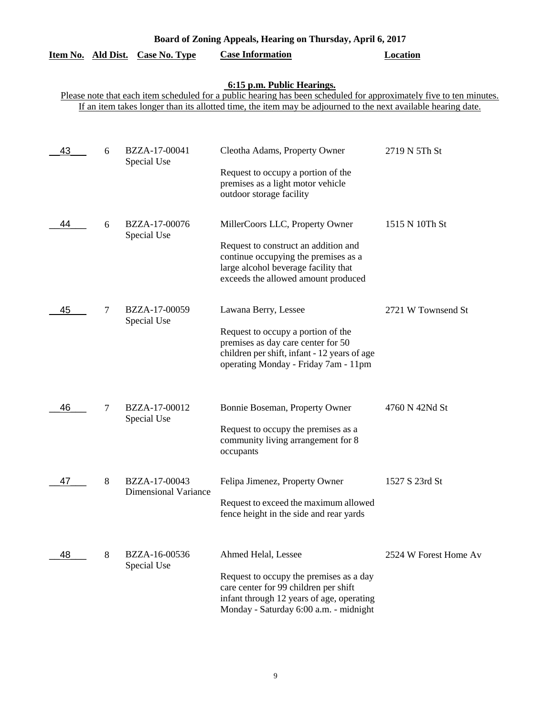| Board of Zoning Appeals, Hearing on Thursday, April 6, 2017                                                                                                                                                                                                        |   |                                              |                                                                                                                                                                                                |                       |  |  |  |  |  |
|--------------------------------------------------------------------------------------------------------------------------------------------------------------------------------------------------------------------------------------------------------------------|---|----------------------------------------------|------------------------------------------------------------------------------------------------------------------------------------------------------------------------------------------------|-----------------------|--|--|--|--|--|
| Item No. Ald Dist.                                                                                                                                                                                                                                                 |   | <b>Case No. Type</b>                         | <b>Case Information</b>                                                                                                                                                                        | <b>Location</b>       |  |  |  |  |  |
| 6:15 p.m. Public Hearings.<br>Please note that each item scheduled for a public hearing has been scheduled for approximately five to ten minutes.<br>If an item takes longer than its allotted time, the item may be adjourned to the next available hearing date. |   |                                              |                                                                                                                                                                                                |                       |  |  |  |  |  |
| 43                                                                                                                                                                                                                                                                 | 6 | BZZA-17-00041<br>Special Use                 | Cleotha Adams, Property Owner<br>Request to occupy a portion of the<br>premises as a light motor vehicle<br>outdoor storage facility                                                           | 2719 N 5Th St         |  |  |  |  |  |
| 44                                                                                                                                                                                                                                                                 | 6 | BZZA-17-00076<br>Special Use                 | MillerCoors LLC, Property Owner<br>Request to construct an addition and<br>continue occupying the premises as a<br>large alcohol beverage facility that<br>exceeds the allowed amount produced | 1515 N 10Th St        |  |  |  |  |  |
| 45                                                                                                                                                                                                                                                                 | 7 | BZZA-17-00059<br>Special Use                 | Lawana Berry, Lessee<br>Request to occupy a portion of the<br>premises as day care center for 50<br>children per shift, infant - 12 years of age<br>operating Monday - Friday 7am - 11pm       | 2721 W Townsend St    |  |  |  |  |  |
| 46                                                                                                                                                                                                                                                                 | 7 | BZZA-17-00012<br>Special Use                 | Bonnie Boseman, Property Owner<br>Request to occupy the premises as a<br>community living arrangement for 8<br>occupants                                                                       | 4760 N 42Nd St        |  |  |  |  |  |
| 47                                                                                                                                                                                                                                                                 | 8 | BZZA-17-00043<br><b>Dimensional Variance</b> | Felipa Jimenez, Property Owner<br>Request to exceed the maximum allowed<br>fence height in the side and rear yards                                                                             | 1527 S 23rd St        |  |  |  |  |  |
| 48                                                                                                                                                                                                                                                                 | 8 | BZZA-16-00536<br>Special Use                 | Ahmed Helal, Lessee<br>Request to occupy the premises as a day<br>care center for 99 children per shift<br>infant through 12 years of age, operating<br>Monday - Saturday 6:00 a.m. - midnight | 2524 W Forest Home Av |  |  |  |  |  |

### 9